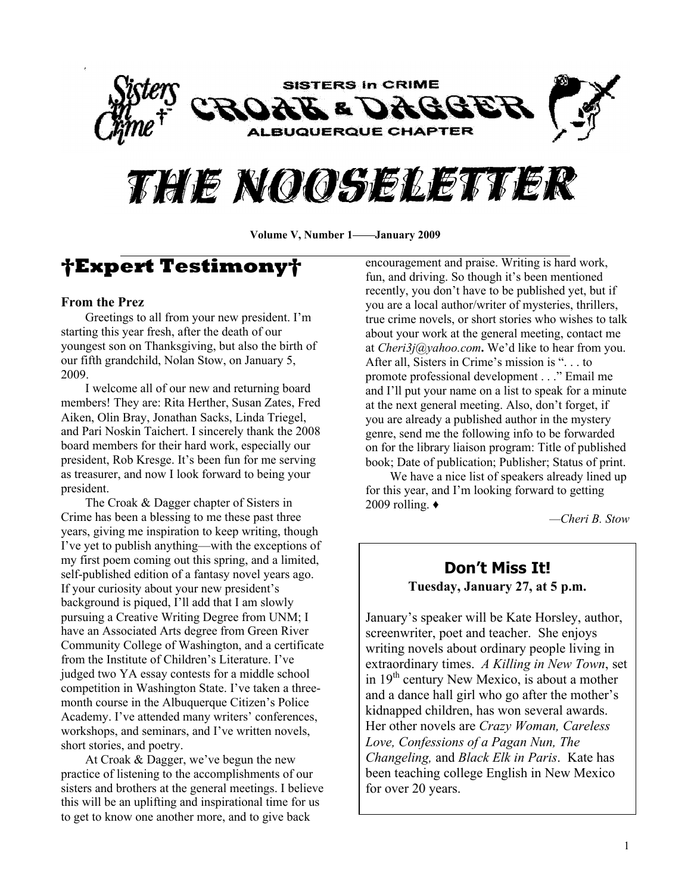

# THE NOOSELEVIER

Volume V, Number 1—**January 2009** 

## **Expert Testimony**

#### **From the Prez**

Greetings to all from your new president. I'm starting this year fresh, after the death of our youngest son on Thanksgiving, but also the birth of our fifth grandchild, Nolan Stow, on January 5, 2009.

I welcome all of our new and returning board members! They are: Rita Herther, Susan Zates, Fred Aiken, Olin Bray, Jonathan Sacks, Linda Triegel, and Pari Noskin Taichert. I sincerely thank the 2008 board members for their hard work, especially our president, Rob Kresge. It's been fun for me serving as treasurer, and now I look forward to being your president.

The Croak & Dagger chapter of Sisters in Crime has been a blessing to me these past three years, giving me inspiration to keep writing, though I've yet to publish anything—with the exceptions of my first poem coming out this spring, and a limited, self-published edition of a fantasy novel years ago. If your curiosity about your new president's background is piqued, I'll add that I am slowly pursuing a Creative Writing Degree from UNM; I have an Associated Arts degree from Green River Community College of Washington, and a certificate from the Institute of Children's Literature. I've judged two YA essay contests for a middle school competition in Washington State. I've taken a threemonth course in the Albuquerque Citizen's Police Academy. I've attended many writers' conferences, workshops, and seminars, and I've written novels, short stories, and poetry.

At Croak & Dagger, we've begun the new practice of listening to the accomplishments of our sisters and brothers at the general meetings. I believe this will be an uplifting and inspirational time for us to get to know one another more, and to give back

encouragement and praise. Writing is hard work, fun, and driving. So though it's been mentioned recently, you don't have to be published yet, but if you are a local author/writer of mysteries, thrillers, true crime novels, or short stories who wishes to talk about your work at the general meeting, contact me at *Cheri3j@yahoo.com*. We'd like to hear from you. After all, Sisters in Crime's mission is ". . . to promote professional development . . .´ Email me and I'll put your name on a list to speak for a minute at the next general meeting. Also, don't forget, if you are already a published author in the mystery genre, send me the following info to be forwarded on for the library liaison program: Title of published book; Date of publication; Publisher; Status of print.

We have a nice list of speakers already lined up for this year, and I'm looking forward to getting 2009 rolling.  $\triangleleft$ 

*²Cheri B. Stow*

## **Don¶t Miss It! Tuesday, January 27, at 5 p.m.**

January's speaker will be Kate Horsley, author, screenwriter, poet and teacher. She enjoys writing novels about ordinary people living in extraordinary times. *A Killing in New Town*, set in 19<sup>th</sup> century New Mexico, is about a mother and a dance hall girl who go after the mother's kidnapped children, has won several awards. Her other novels are *Crazy Woman, Careless Love, Confessions of a Pagan Nun, The Changeling,* and *Black Elk in Paris*. Kate has been teaching college English in New Mexico for over 20 years.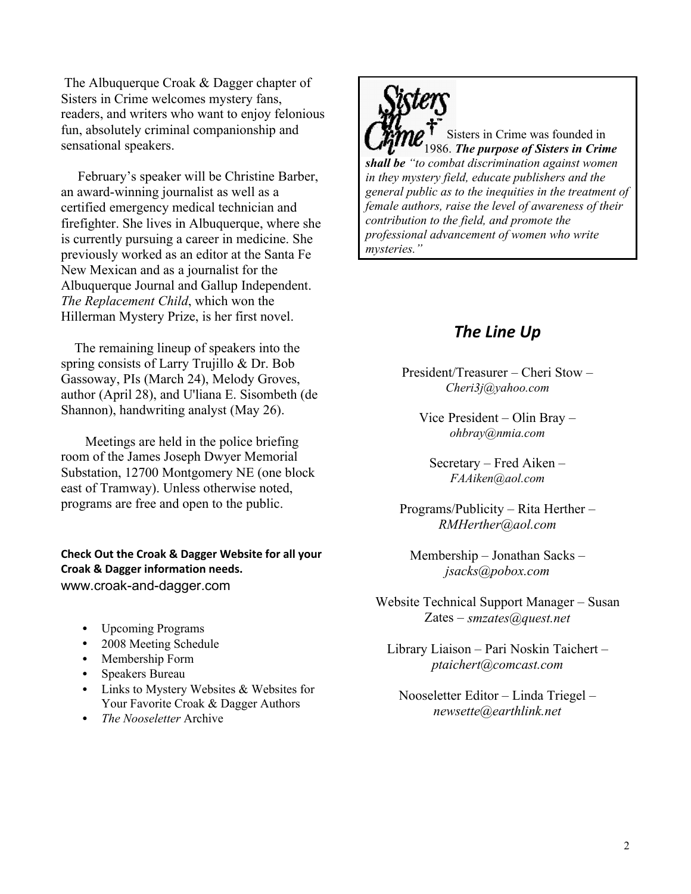The Albuquerque Croak & Dagger chapter of Sisters in Crime welcomes mystery fans, readers, and writers who want to enjoy felonious fun, absolutely criminal companionship and sensational speakers.

February's speaker will be Christine Barber, an award-winning journalist as well as a certified emergency medical technician and firefighter. She lives in Albuquerque, where she is currently pursuing a career in medicine. She previously worked as an editor at the Santa Fe New Mexican and as a journalist for the Albuquerque Journal and Gallup Independent. *The Replacement Child*, which won the Hillerman Mystery Prize, is her first novel.

 The remaining lineup of speakers into the spring consists of Larry Trujillo & Dr. Bob Gassoway, PIs (March 24), Melody Groves, author (April 28), and U'liana E. Sisombeth (de Shannon), handwriting analyst (May 26).

Meetings are held in the police briefing room of the James Joseph Dwyer Memorial Substation, 12700 Montgomery NE (one block east of Tramway). Unless otherwise noted, programs are free and open to the public.

**Check Out the Croak & Dagger Website for all your Croak & Dagger information needs.** www.croak-and-dagger.com

- Upcoming Programs
- 2008 Meeting Schedule
- Membership Form
- Speakers Bureau
- Links to Mystery Websites & Websites for Your Favorite Croak & Dagger Authors
- *The Nooseletter* Archive



Sisters in Crime was founded in 1986. *The purpose of Sisters in Crime shall be ³to combat discrimination against women in they mystery field, educate publishers and the general public as to the inequities in the treatment of female authors, raise the level of awareness of their contribution to the field, and promote the professional advancement of women who write mysteries.´*

## *The Line Up*

President/Treasurer  $-$  Cheri Stow  $-$ *Cheri3j@yahoo.com*

Vice President  $-\text{O}$ lin Bray  $-\text{O}$ *ohbray@nmia.com*

 $S$ ecretary – Fred Aiken – *FAAiken@aol.com*

Programs/Publicity  $-$  Rita Herther  $-$ *RMHerther@aol.com*

Membership  $-$  Jonathan Sacks  $$ *jsacks@pobox.com*

Website Technical Support Manager – Susan Zates ± *smzates@quest.net*

Library Liaison - Pari Noskin Taichert *ptaichert@comcast.com*

Nooseletter Editor – Linda Triegel – *newsette@earthlink.net*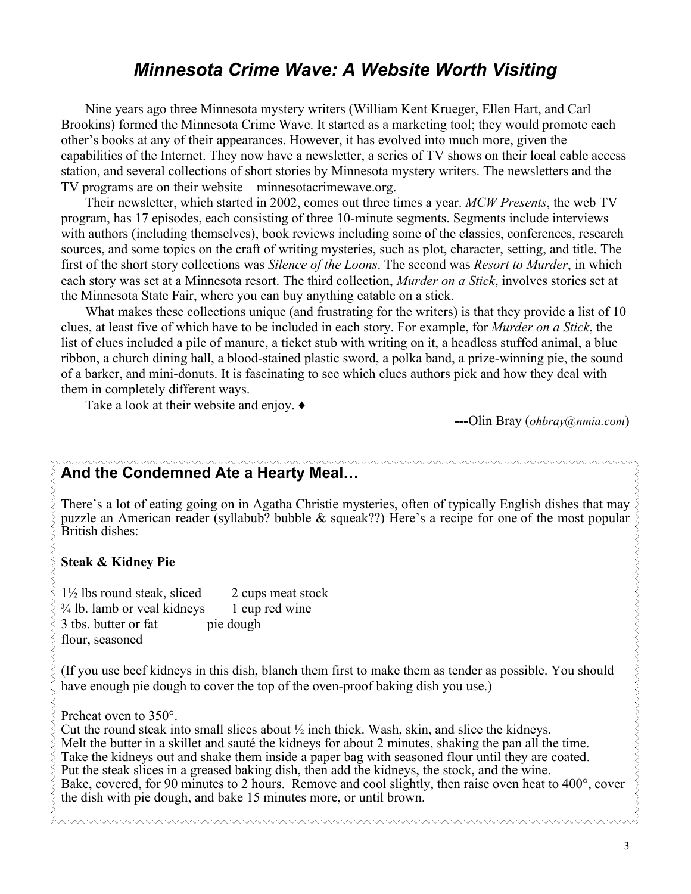## *Minnesota Crime Wave: A Website Worth Visiting*

Nine years ago three Minnesota mystery writers (William Kent Krueger, Ellen Hart, and Carl Brookins) formed the Minnesota Crime Wave. It started as a marketing tool; they would promote each other's books at any of their appearances. However, it has evolved into much more, given the capabilities of the Internet. They now have a newsletter, a series of TV shows on their local cable access station, and several collections of short stories by Minnesota mystery writers. The newsletters and the TV programs are on their website—minnesotacrimewave.org.

Their newsletter, which started in 2002, comes out three times a year. *MCW Presents*, the web TV program, has 17 episodes, each consisting of three 10-minute segments. Segments include interviews with authors (including themselves), book reviews including some of the classics, conferences, research sources, and some topics on the craft of writing mysteries, such as plot, character, setting, and title. The first of the short story collections was *Silence of the Loons*. The second was *Resort to Murder*, in which each story was set at a Minnesota resort. The third collection, *Murder on a Stick*, involves stories set at the Minnesota State Fair, where you can buy anything eatable on a stick.

What makes these collections unique (and frustrating for the writers) is that they provide a list of 10 clues, at least five of which have to be included in each story. For example, for *Murder on a Stick*, the list of clues included a pile of manure, a ticket stub with writing on it, a headless stuffed animal, a blue ribbon, a church dining hall, a blood-stained plastic sword, a polka band, a prize-winning pie, the sound of a barker, and mini-donuts. It is fascinating to see which clues authors pick and how they deal with them in completely different ways.

Take a look at their website and enjoy.  $\bullet$ 

**---**Olin Bray (*ohbray@nmia.com*)

## And the Condemned Ate a Hearty Meal...

There's a lot of eating going on in Agatha Christie mysteries, often of typically English dishes that may puzzle an American reader (syllabub? bubble  $\&$  squeak??) Here's a recipe for one of the most popular British dishes:

#### **Steak & Kidney Pie**

 $1\frac{1}{2}$  lbs round steak, sliced 2 cups meat stock  $\frac{3}{4}$  lb. lamb or veal kidneys 1 cup red wine 3 tbs. butter or fat pie dough flour, seasoned

(If you use beef kidneys in this dish, blanch them first to make them as tender as possible. You should have enough pie dough to cover the top of the oven-proof baking dish you use.)

Preheat oven to 350°.

Cut the round steak into small slices about  $\frac{1}{2}$  inch thick. Wash, skin, and slice the kidneys. Melt the butter in a skillet and sauté the kidneys for about 2 minutes, shaking the pan all the time. Take the kidneys out and shake them inside a paper bag with seasoned flour until they are coated. Put the steak slices in a greased baking dish, then add the kidneys, the stock, and the wine. Bake, covered, for 90 minutes to 2 hours. Remove and cool slightly, then raise oven heat to 400°, cover the dish with pie dough, and bake 15 minutes more, or until brown.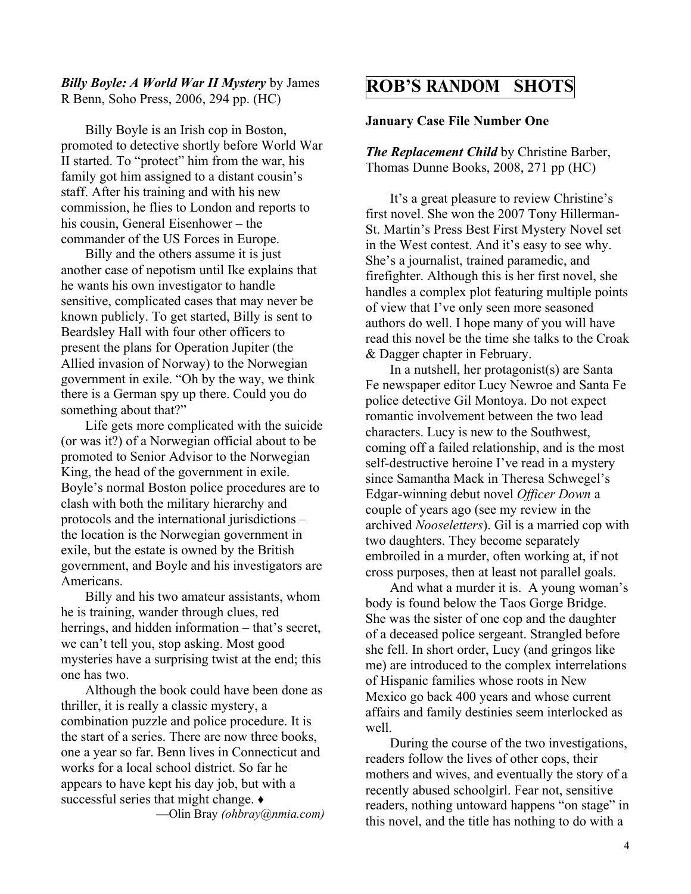#### *Billy Boyle: A World War II Mystery* by James R Benn, Soho Press, 2006, 294 pp. (HC)

Billy Boyle is an Irish cop in Boston, promoted to detective shortly before World War II started. To "protect" him from the war, his family got him assigned to a distant cousin's staff. After his training and with his new commission, he flies to London and reports to his cousin, General Eisenhower  $-$  the commander of the US Forces in Europe.

Billy and the others assume it is just another case of nepotism until Ike explains that he wants his own investigator to handle sensitive, complicated cases that may never be known publicly. To get started, Billy is sent to Beardsley Hall with four other officers to present the plans for Operation Jupiter (the Allied invasion of Norway) to the Norwegian government in exile. "Oh by the way, we think there is a German spy up there. Could you do something about that?"

Life gets more complicated with the suicide (or was it?) of a Norwegian official about to be promoted to Senior Advisor to the Norwegian King, the head of the government in exile. Boyle's normal Boston police procedures are to clash with both the military hierarchy and protocols and the international jurisdictions  $$ the location is the Norwegian government in exile, but the estate is owned by the British government, and Boyle and his investigators are Americans.

Billy and his two amateur assistants, whom he is training, wander through clues, red herrings, and hidden information  $-$  that's secret, we can't tell you, stop asking. Most good mysteries have a surprising twist at the end; this one has two.

Although the book could have been done as thriller, it is really a classic mystery, a combination puzzle and police procedure. It is the start of a series. There are now three books, one a year so far. Benn lives in Connecticut and works for a local school district. So far he appears to have kept his day job, but with a successful series that might change.  $\bullet$ **²**Olin Bray *(ohbray@nmia.com)*

## **ROB¶S RANDOM SHOTS**

#### **January Case File Number One**

*The Replacement Child* by Christine Barber, Thomas Dunne Books, 2008, 271 pp (HC)

It's a great pleasure to review Christine's first novel. She won the 2007 Tony Hillerman-St. Martin's Press Best First Mystery Novel set in the West contest. And it's easy to see why. She's a journalist, trained paramedic, and firefighter. Although this is her first novel, she handles a complex plot featuring multiple points of view that I've only seen more seasoned authors do well. I hope many of you will have read this novel be the time she talks to the Croak & Dagger chapter in February.

In a nutshell, her protagonist(s) are Santa Fe newspaper editor Lucy Newroe and Santa Fe police detective Gil Montoya. Do not expect romantic involvement between the two lead characters. Lucy is new to the Southwest, coming off a failed relationship, and is the most self-destructive heroine I've read in a mystery since Samantha Mack in Theresa Schwegel's Edgar-winning debut novel *Officer Down* a couple of years ago (see my review in the archived *Nooseletters*). Gil is a married cop with two daughters. They become separately embroiled in a murder, often working at, if not cross purposes, then at least not parallel goals.

And what a murder it is. A young woman's body is found below the Taos Gorge Bridge. She was the sister of one cop and the daughter of a deceased police sergeant. Strangled before she fell. In short order, Lucy (and gringos like me) are introduced to the complex interrelations of Hispanic families whose roots in New Mexico go back 400 years and whose current affairs and family destinies seem interlocked as well.

During the course of the two investigations, readers follow the lives of other cops, their mothers and wives, and eventually the story of a recently abused schoolgirl. Fear not, sensitive readers, nothing untoward happens "on stage" in this novel, and the title has nothing to do with a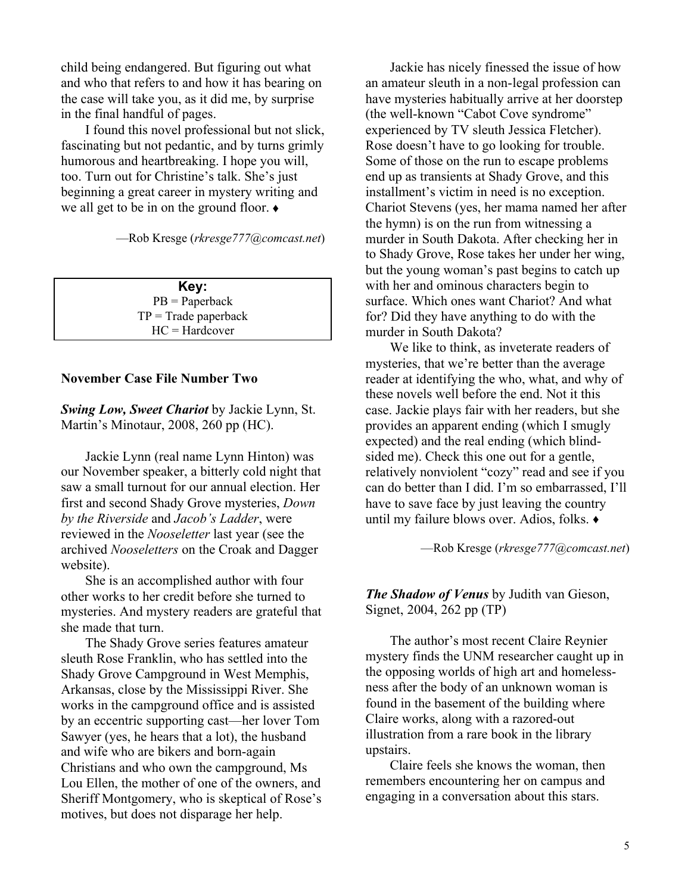child being endangered. But figuring out what and who that refers to and how it has bearing on the case will take you, as it did me, by surprise in the final handful of pages.

I found this novel professional but not slick, fascinating but not pedantic, and by turns grimly humorous and heartbreaking. I hope you will, too. Turn out for Christine's talk. She's just beginning a great career in mystery writing and we all get to be in on the ground floor.  $\bullet$ 

²Rob Kresge (*rkresge777@comcast.net*)

**Key:** PB = Paperback  $TP = Trade$  paperback HC = Hardcover

#### **November Case File Number Two**

*Swing Low, Sweet Chariot* by Jackie Lynn, St. Martin's Minotaur, 2008, 260 pp (HC).

Jackie Lynn (real name Lynn Hinton) was our November speaker, a bitterly cold night that saw a small turnout for our annual election. Her first and second Shady Grove mysteries, *Down by the Riverside* and *Jacob¶s Ladder*, were reviewed in the *Nooseletter* last year (see the archived *Nooseletters* on the Croak and Dagger website).

She is an accomplished author with four other works to her credit before she turned to mysteries. And mystery readers are grateful that she made that turn.

The Shady Grove series features amateur sleuth Rose Franklin, who has settled into the Shady Grove Campground in West Memphis, Arkansas, close by the Mississippi River. She works in the campground office and is assisted by an eccentric supporting cast—her lover Tom Sawyer (yes, he hears that a lot), the husband and wife who are bikers and born-again Christians and who own the campground, Ms Lou Ellen, the mother of one of the owners, and Sheriff Montgomery, who is skeptical of Rose's motives, but does not disparage her help.

Jackie has nicely finessed the issue of how an amateur sleuth in a non-legal profession can have mysteries habitually arrive at her doorstep (the well-known "Cabot Cove syndrome" experienced by TV sleuth Jessica Fletcher). Rose doesn't have to go looking for trouble. Some of those on the run to escape problems end up as transients at Shady Grove, and this installment's victim in need is no exception. Chariot Stevens (yes, her mama named her after the hymn) is on the run from witnessing a murder in South Dakota. After checking her in to Shady Grove, Rose takes her under her wing, but the young woman's past begins to catch up with her and ominous characters begin to surface. Which ones want Chariot? And what for? Did they have anything to do with the murder in South Dakota?

We like to think, as inveterate readers of mysteries, that we're better than the average reader at identifying the who, what, and why of these novels well before the end. Not it this case. Jackie plays fair with her readers, but she provides an apparent ending (which I smugly expected) and the real ending (which blindsided me). Check this one out for a gentle, relatively nonviolent "cozy" read and see if you can do better than I did. I'm so embarrassed, I'll have to save face by just leaving the country until my failure blows over. Adios, folks.  $\bullet$ 

²Rob Kresge (*rkresge777@comcast.net*)

*The Shadow of Venus* by Judith van Gieson, Signet, 2004, 262 pp (TP)

The author's most recent Claire Reynier mystery finds the UNM researcher caught up in the opposing worlds of high art and homelessness after the body of an unknown woman is found in the basement of the building where Claire works, along with a razored-out illustration from a rare book in the library upstairs.

Claire feels she knows the woman, then remembers encountering her on campus and engaging in a conversation about this stars.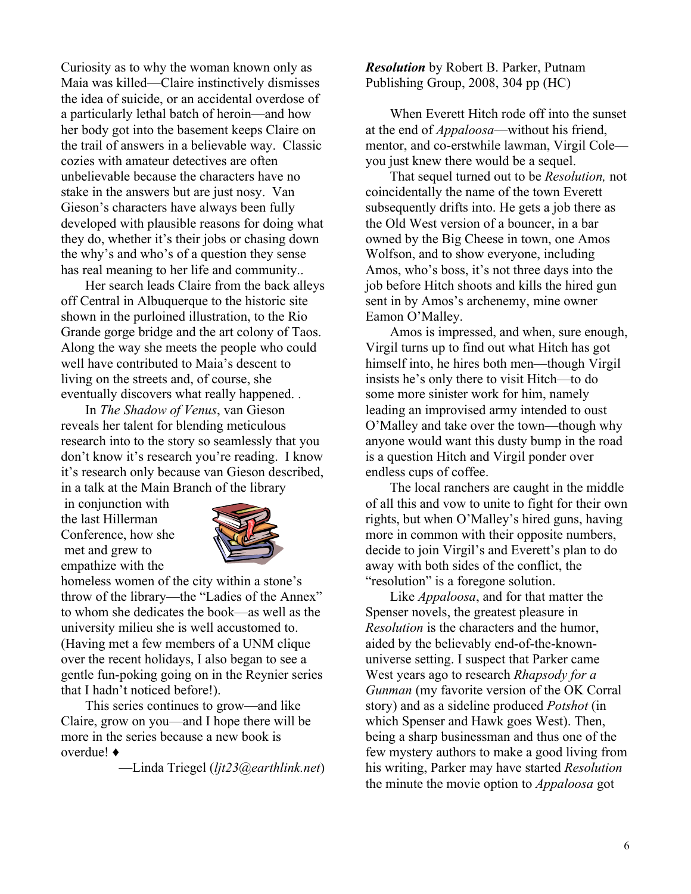Curiosity as to why the woman known only as Maia was killed—Claire instinctively dismisses the idea of suicide, or an accidental overdose of a particularly lethal batch of heroin—and how her body got into the basement keeps Claire on the trail of answers in a believable way. Classic cozies with amateur detectives are often unbelievable because the characters have no stake in the answers but are just nosy. Van Gieson's characters have always been fully developed with plausible reasons for doing what they do, whether it's their jobs or chasing down the why's and who's of a question they sense has real meaning to her life and community..

Her search leads Claire from the back alleys off Central in Albuquerque to the historic site shown in the purloined illustration, to the Rio Grande gorge bridge and the art colony of Taos. Along the way she meets the people who could well have contributed to Maia's descent to living on the streets and, of course, she eventually discovers what really happened. .

In *The Shadow of Venus*, van Gieson reveals her talent for blending meticulous research into to the story so seamlessly that you don't know it's research you're reading. I know it's research only because van Gieson described, in a talk at the Main Branch of the library

in conjunction with the last Hillerman Conference, how she met and grew to empathize with the



homeless women of the city within a stone's throw of the library—the "Ladies of the Annex" to whom she dedicates the book—as well as the university milieu she is well accustomed to. (Having met a few members of a UNM clique over the recent holidays, I also began to see a gentle fun-poking going on in the Reynier series that I hadn't noticed before!).

This series continues to grow—and like Claire, grow on you-and I hope there will be more in the series because a new book is overdue! **Ƈ**

²Linda Triegel (*ljt23@earthlink.net*)

*Resolution* by Robert B. Parker, Putnam Publishing Group, 2008, 304 pp (HC)

When Everett Hitch rode off into the sunset at the end of *Appaloosa*—without his friend, mentor, and co-erstwhile lawman, Virgil Coleyou just knew there would be a sequel.

That sequel turned out to be *Resolution,* not coincidentally the name of the town Everett subsequently drifts into. He gets a job there as the Old West version of a bouncer, in a bar owned by the Big Cheese in town, one Amos Wolfson, and to show everyone, including Amos, who's boss, it's not three days into the job before Hitch shoots and kills the hired gun sent in by Amos's archenemy, mine owner Eamon O'Malley.

Amos is impressed, and when, sure enough, Virgil turns up to find out what Hitch has got himself into, he hires both men—though Virgil insists he's only there to visit Hitch—to do some more sinister work for him, namely leading an improvised army intended to oust O'Malley and take over the town—though why anyone would want this dusty bump in the road is a question Hitch and Virgil ponder over endless cups of coffee.

The local ranchers are caught in the middle of all this and vow to unite to fight for their own rights, but when O'Malley's hired guns, having more in common with their opposite numbers, decide to join Virgil's and Everett's plan to do away with both sides of the conflict, the "resolution" is a foregone solution.

Like *Appaloosa*, and for that matter the Spenser novels, the greatest pleasure in *Resolution* is the characters and the humor, aided by the believably end-of-the-knownuniverse setting. I suspect that Parker came West years ago to research *Rhapsody for a Gunman* (my favorite version of the OK Corral story) and as a sideline produced *Potshot* (in which Spenser and Hawk goes West). Then, being a sharp businessman and thus one of the few mystery authors to make a good living from his writing, Parker may have started *Resolution* the minute the movie option to *Appaloosa* got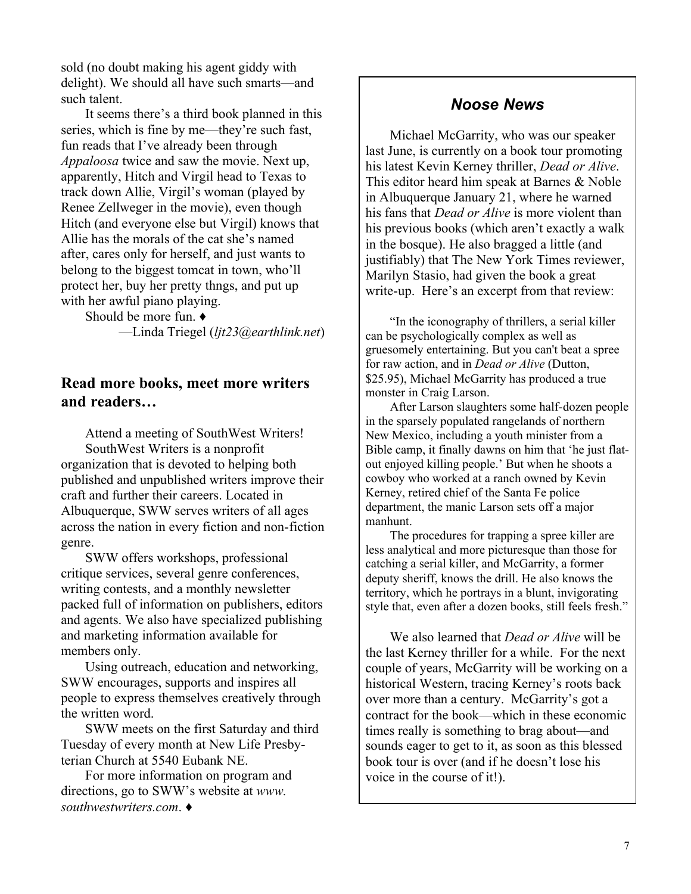sold (no doubt making his agent giddy with delight). We should all have such smarts—and such talent.

It seems there's a third book planned in this series, which is fine by me—they're such fast, fun reads that I've already been through *Appaloosa* twice and saw the movie. Next up, apparently, Hitch and Virgil head to Texas to track down Allie, Virgil's woman (played by Renee Zellweger in the movie), even though Hitch (and everyone else but Virgil) knows that Allie has the morals of the cat she's named after, cares only for herself, and just wants to belong to the biggest tomcat in town, who'll protect her, buy her pretty thngs, and put up with her awful piano playing.

Should be more fun.  $\triangleleft$ ²Linda Triegel (*ljt23@earthlink.net*)

## **Read more books, meet more writers**  and readers...

Attend a meeting of SouthWest Writers! SouthWest Writers is a nonprofit organization that is devoted to helping both published and unpublished writers improve their craft and further their careers. Located in Albuquerque, SWW serves writers of all ages across the nation in every fiction and non-fiction genre.

SWW offers workshops, professional critique services, several genre conferences, writing contests, and a monthly newsletter packed full of information on publishers, editors and agents. We also have specialized publishing and marketing information available for members only.

Using outreach, education and networking, SWW encourages, supports and inspires all people to express themselves creatively through the written word.

SWW meets on the first Saturday and third Tuesday of every month at New Life Presbyterian Church at 5540 Eubank NE.

For more information on program and directions, go to SWW's website at *www. southwestwriters.com*. **Ƈ**

## *Noose News*

Michael McGarrity, who was our speaker last June, is currently on a book tour promoting his latest Kevin Kerney thriller, *Dead or Alive*. This editor heard him speak at Barnes & Noble in Albuquerque January 21, where he warned his fans that *Dead or Alive* is more violent than his previous books (which aren't exactly a walk in the bosque). He also bragged a little (and justifiably) that The New York Times reviewer, Marilyn Stasio, had given the book a great write-up. Here's an excerpt from that review:

"In the iconography of thrillers, a serial killer can be psychologically complex as well as gruesomely entertaining. But you can't beat a spree for raw action, and in *Dead or Alive* (Dutton, \$25.95), Michael McGarrity has produced a true monster in Craig Larson.

After Larson slaughters some half-dozen people in the sparsely populated rangelands of northern New Mexico, including a youth minister from a Bible camp, it finally dawns on him that 'he just flatout enjoyed killing people.' But when he shoots a cowboy who worked at a ranch owned by Kevin Kerney, retired chief of the Santa Fe police department, the manic Larson sets off a major manhunt.

The procedures for trapping a spree killer are less analytical and more picturesque than those for catching a serial killer, and McGarrity, a former deputy sheriff, knows the drill. He also knows the territory, which he portrays in a blunt, invigorating style that, even after a dozen books, still feels fresh."

We also learned that *Dead or Alive* will be the last Kerney thriller for a while. For the next couple of years, McGarrity will be working on a historical Western, tracing Kerney's roots back over more than a century. McGarrity's got a contract for the book—which in these economic times really is something to brag about—and sounds eager to get to it, as soon as this blessed book tour is over (and if he doesn't lose his voice in the course of it!).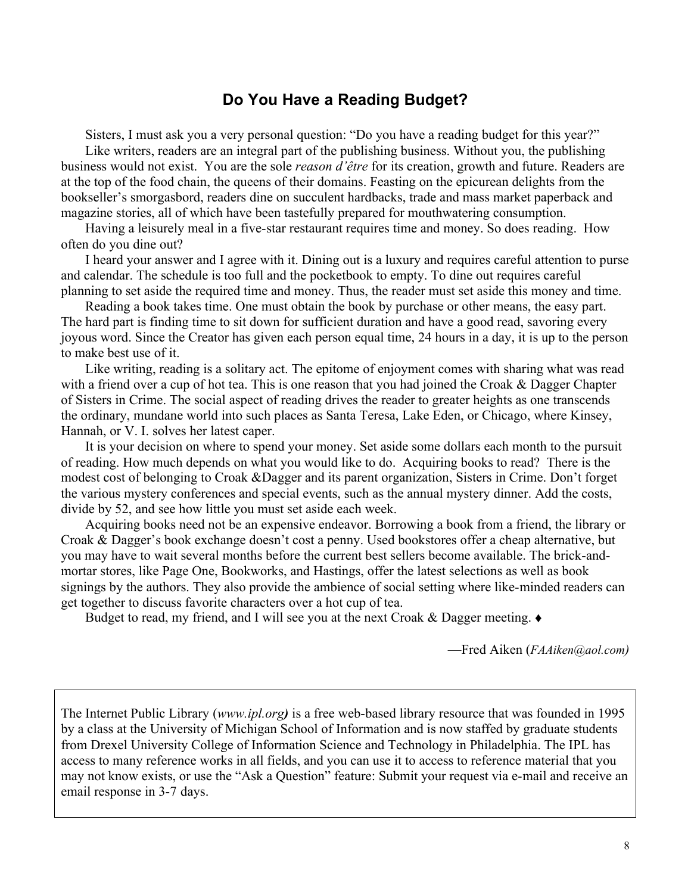## **Do You Have a Reading Budget?**

Sisters, I must ask you a very personal question: "Do you have a reading budget for this year?" Like writers, readers are an integral part of the publishing business. Without you, the publishing business would not exist. You are the sole *reason d'être* for its creation, growth and future. Readers are at the top of the food chain, the queens of their domains. Feasting on the epicurean delights from the bookseller's smorgasbord, readers dine on succulent hardbacks, trade and mass market paperback and magazine stories, all of which have been tastefully prepared for mouthwatering consumption.

Having a leisurely meal in a five-star restaurant requires time and money. So does reading. How often do you dine out?

I heard your answer and I agree with it. Dining out is a luxury and requires careful attention to purse and calendar. The schedule is too full and the pocketbook to empty. To dine out requires careful planning to set aside the required time and money. Thus, the reader must set aside this money and time.

Reading a book takes time. One must obtain the book by purchase or other means, the easy part. The hard part is finding time to sit down for sufficient duration and have a good read, savoring every joyous word. Since the Creator has given each person equal time, 24 hours in a day, it is up to the person to make best use of it.

Like writing, reading is a solitary act. The epitome of enjoyment comes with sharing what was read with a friend over a cup of hot tea. This is one reason that you had joined the Croak & Dagger Chapter of Sisters in Crime. The social aspect of reading drives the reader to greater heights as one transcends the ordinary, mundane world into such places as Santa Teresa, Lake Eden, or Chicago, where Kinsey, Hannah, or V. I. solves her latest caper.

It is your decision on where to spend your money. Set aside some dollars each month to the pursuit of reading. How much depends on what you would like to do. Acquiring books to read? There is the modest cost of belonging to Croak &Dagger and its parent organization, Sisters in Crime. Don't forget the various mystery conferences and special events, such as the annual mystery dinner. Add the costs, divide by 52, and see how little you must set aside each week.

Acquiring books need not be an expensive endeavor. Borrowing a book from a friend, the library or Croak & Dagger's book exchange doesn't cost a penny. Used bookstores offer a cheap alternative, but you may have to wait several months before the current best sellers become available. The brick-andmortar stores, like Page One, Bookworks, and Hastings, offer the latest selections as well as book signings by the authors. They also provide the ambience of social setting where like-minded readers can get together to discuss favorite characters over a hot cup of tea.

Budget to read, my friend, and I will see you at the next Croak & Dagger meeting.  $\bullet$ 

²Fred Aiken (*FAAiken@aol.com)*

The Internet Public Library (*www.ipl.org)* is a free web-based library resource that was founded in 1995 by a class at the University of Michigan School of Information and is now staffed by graduate students from Drexel University College of Information Science and Technology in Philadelphia. The IPL has access to many reference works in all fields, and you can use it to access to reference material that you may not know exists, or use the "Ask a Question" feature: Submit your request via e-mail and receive an email response in 3-7 days.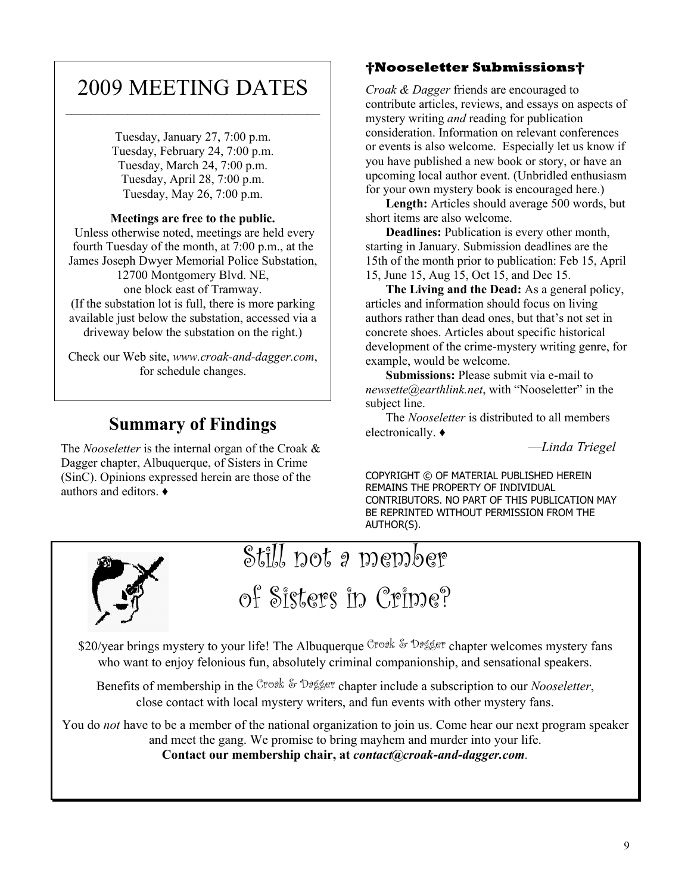## 2009 MEETING DATES

Tuesday, January 27, 7:00 p.m. Tuesday, February 24, 7:00 p.m. Tuesday, March 24, 7:00 p.m. Tuesday, April 28, 7:00 p.m. Tuesday, May 26, 7:00 p.m.

#### **Meetings are free to the public.**

 Unless otherwise noted, meetings are held every fourth Tuesday of the month, at 7:00 p.m., at the James Joseph Dwyer Memorial Police Substation, 12700 Montgomery Blvd. NE, one block east of Tramway.

(If the substation lot is full, there is more parking available just below the substation, accessed via a driveway below the substation on the right.)

Check our Web site, *www.croak-and-dagger.com*, for schedule changes.

## **Summary of Findings**

The *Nooseletter* is the internal organ of the Croak & Dagger chapter, Albuquerque, of Sisters in Crime (SinC). Opinions expressed herein are those of the authors and editors.  $\rightarrow$ 

## **Nooseletter Submissions**

*Croak & Dagger* friends are encouraged to contribute articles, reviews, and essays on aspects of mystery writing *and* reading for publication consideration. Information on relevant conferences or events is also welcome. Especially let us know if you have published a new book or story, or have an upcoming local author event. (Unbridled enthusiasm for your own mystery book is encouraged here.)

**Length:** Articles should average 500 words, but short items are also welcome.

**Deadlines:** Publication is every other month, starting in January. Submission deadlines are the 15th of the month prior to publication: Feb 15, April 15, June 15, Aug 15, Oct 15, and Dec 15.

**The Living and the Dead:** As a general policy, articles and information should focus on living authors rather than dead ones, but that's not set in concrete shoes. Articles about specific historical development of the crime-mystery writing genre, for example, would be welcome.

**Submissions:** Please submit via e-mail to *newsette@earthlink.net.* with "Nooseletter" in the subject line.

The *Nooseletter* is distributed to all members electronically.  $\triangleleft$ 

²*Linda Triegel*

COPYRIGHT © OF MATERIAL PUBLISHED HEREIN REMAINS THE PROPERTY OF INDIVIDUAL CONTRIBUTORS. NO PART OF THIS PUBLICATION MAY BE REPRINTED WITHOUT PERMISSION FROM THE AUTHOR(S).



Still not a member

of Sisters in Crime?

\$20/year brings mystery to your life! The Albuquerque Croak & Dagger chapter welcomes mystery fans who want to enjoy felonious fun, absolutely criminal companionship, and sensational speakers.

Benefits of membership in the Croak & Dagger chapter include a subscription to our *Nooseletter*, close contact with local mystery writers, and fun events with other mystery fans.

You do *not* have to be a member of the national organization to join us. Come hear our next program speaker and meet the gang. We promise to bring mayhem and murder into your life. **Contact our membership chair, at** *contact@croak-and-dagger.com.*